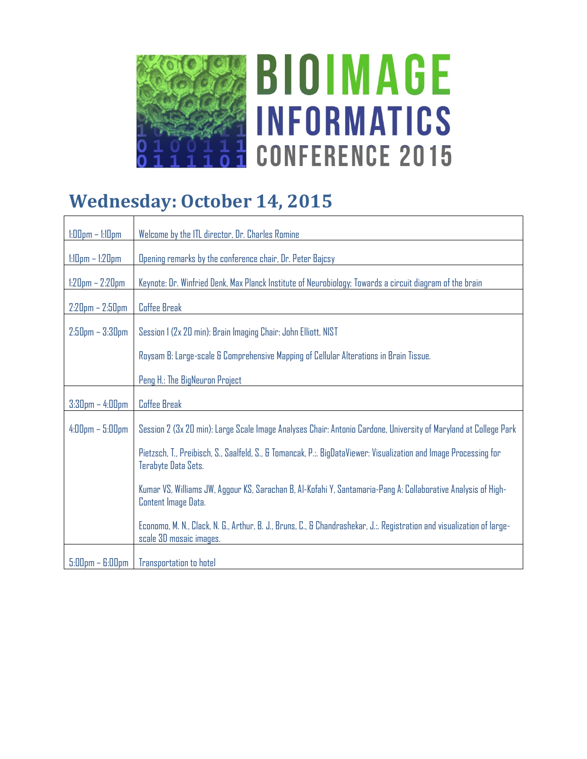

# **BIOIMAGE INFORMATICS CONFERENCE 2015**

### **Wednesday: October 14, 2015**

| $1:00$ pm – $1:10$ pm | Welcome by the ITL director, Dr. Charles Romine                                                                                                   |
|-----------------------|---------------------------------------------------------------------------------------------------------------------------------------------------|
| $1:10$ pm $-1:20$ pm  | Opening remarks by the conference chair, Dr. Peter Bajcsy                                                                                         |
| $1:20$ pm – 2:20pm    | Keynote: Dr. Winfried Denk, Max Planck Institute of Neurobiology; Towards a circuit diagram of the brain                                          |
| $2:20$ pm – $2:50$ pm | <b>Coffee Break</b>                                                                                                                               |
| $2:50$ pm - $3:30$ pm | Session 1 (2x 20 min): Brain Imaging Chair: John Elliott, NIST                                                                                    |
|                       | Roysam B: Large-scale & Comprehensive Mapping of Cellular Alterations in Brain Tissue.                                                            |
|                       | Peng H.: The BigNeuron Project                                                                                                                    |
| $3:30$ pm $-4:00$ pm  | <b>Coffee Break</b>                                                                                                                               |
| $4:00$ pm $-5:00$ pm  | Session 2 (3x 20 min): Large Scale Image Analyses Chair: Antonio Cardone, University of Maryland at College Park                                  |
|                       | Pietzsch, T., Preibisch, S., Saalfeld, S., & Tomancak, P.:. BigDataViewer: Visualization and Image Processing for<br>Terabyte Data Sets.          |
|                       | Kumar VS, Williams JW, Aggour KS, Sarachan B, Al-Kofahi Y, Santamaria-Pang A: Collaborative Analysis of High-<br>Content Image Data.              |
|                       | Economo, M. N., Clack, N. G., Arthur, B. J., Bruns, C., & Chandrashekar, J.:. Registration and visualization of large-<br>scale 3D mosaic images. |
| $5:00$ pm – $6:00$ pm | Transportation to hotel                                                                                                                           |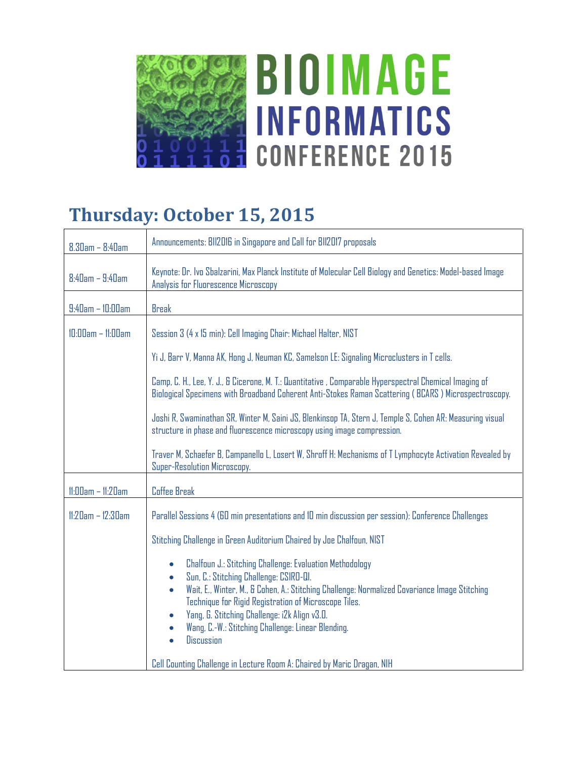

## **Thursday: October 15, 2015**

| $8.30$ am - $8:40$ am   | Announcements: BII2016 in Singapore and Call for BII2017 proposals                                                                                                                                                                                                                                                                                                                                                                                  |
|-------------------------|-----------------------------------------------------------------------------------------------------------------------------------------------------------------------------------------------------------------------------------------------------------------------------------------------------------------------------------------------------------------------------------------------------------------------------------------------------|
| $8:4$ Dam - $9:4$ Dam   | Keynote: Dr. Ivo Sbalzarini, Max Planck Institute of Molecular Cell Biology and Genetics: Model-based Image<br>Analysis for Fluorescence Microscopy                                                                                                                                                                                                                                                                                                 |
| $9:40$ am - $10:00$ am  | <b>Break</b>                                                                                                                                                                                                                                                                                                                                                                                                                                        |
| $10:00am - 11:00am$     | Session 3 (4 x 15 min): Cell Imaging Chair: Michael Halter, NIST                                                                                                                                                                                                                                                                                                                                                                                    |
|                         | Yi J, Barr V, Manna AK, Hong J, Neuman KC, Samelson LE: Signaling Microclusters in T cells.                                                                                                                                                                                                                                                                                                                                                         |
|                         | Camp, C. H., Lee, Y. J., & Cicerone, M. T.: Quantitative , Comparable Hyperspectral Chemical Imaging of<br>Biological Specimens with Broadband Coherent Anti-Stokes Raman Scattering (BCARS) Microspectroscopy.                                                                                                                                                                                                                                     |
|                         | Joshi R, Swaminathan SR, Winter M, Saini JS, Blenkinsop TA, Stern J, Temple S, Cohen AR: Measuring visual<br>structure in phase and fluorescence microscopy using image compression.                                                                                                                                                                                                                                                                |
|                         | Traver M, Schaefer B, Campanello L, Losert W, Shroff H: Mechanisms of T Lymphocyte Activation Revealed by<br>Super-Resolution Microscopy.                                                                                                                                                                                                                                                                                                           |
| $11:00am - 11:20am$     | Coffee Break                                                                                                                                                                                                                                                                                                                                                                                                                                        |
| $11:2$ Dam - $12:3$ Dam | Parallel Sessions 4 (60 min presentations and 10 min discussion per session): Conference Challenges                                                                                                                                                                                                                                                                                                                                                 |
|                         | Stitching Challenge in Green Auditorium Chaired by Joe Chalfoun, NIST                                                                                                                                                                                                                                                                                                                                                                               |
|                         | Chalfoun J.: Stitching Challenge: Evaluation Methodology<br>$\bullet$<br>Sun, C.: Stitching Challenge: CSIRO-QI.<br>$\bullet$<br>Wait, E., Winter, M., & Cohen, A.: Stitching Challenge: Normalized Covariance Image Stitching<br>$\bullet$<br>Technique for Rigid Registration of Microscope Tiles.<br>Yang, G. Stitching Challenge: i2k Align v3.0.<br>$\bullet$<br>Wang, C.-W.: Stitching Challenge: Linear Blending.<br>Discussion<br>$\bullet$ |
|                         | Cell Counting Challenge in Lecture Room A: Chaired by Maric Dragan, NIH                                                                                                                                                                                                                                                                                                                                                                             |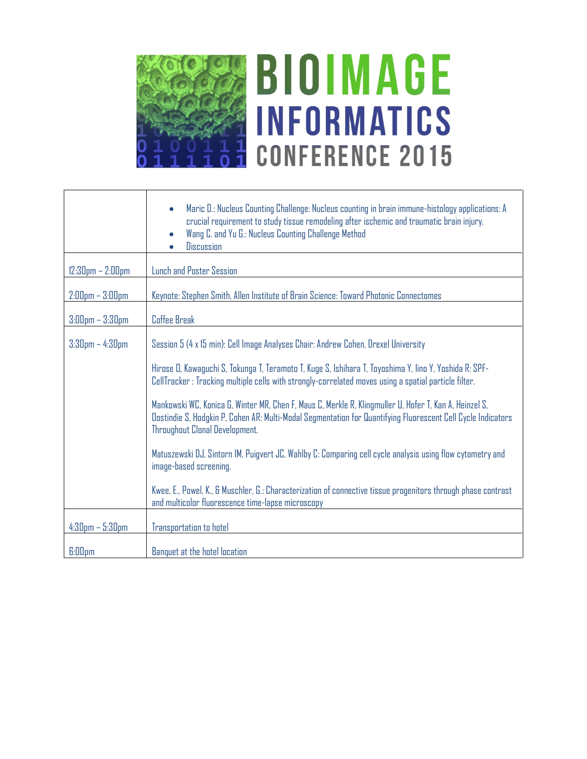

# **BIOIMAGE INFORMATICS CONFERENCE 2015**

|                        | Maric D.: Nucleus Counting Challenge: Nucleus counting in brain immune-histology applications: A<br>crucial requirement to study tissue remodeling after ischemic and traumatic brain injury.<br>Wang C. and Yu G.: Nucleus Counting Challenge Method<br>$\bullet$<br>Discussion |
|------------------------|----------------------------------------------------------------------------------------------------------------------------------------------------------------------------------------------------------------------------------------------------------------------------------|
| $12:30$ pm $- 2:00$ pm | Lunch and Poster Session                                                                                                                                                                                                                                                         |
| $2:00$ pm $- 3:00$ pm  | Keynote: Stephen Smith, Allen Institute of Brain Science: Toward Photonic Connectomes                                                                                                                                                                                            |
| $3:00$ pm $- 3:30$ pm  | Coffee Break                                                                                                                                                                                                                                                                     |
| $3:30$ pm $-4:30$ pm   | Session 5 (4 x 15 min): Cell Image Analyses Chair: Andrew Cohen, Drexel University                                                                                                                                                                                               |
|                        | Hirose D, Kawaguchi S, Tokunga T, Teramoto T, Kuge S, Ishihara T, Toyoshima Y, lino Y, Yoshida R: SPF-<br>CellTracker : Tracking multiple cells with strongly-correlated moves using a spatial particle filter.                                                                  |
|                        | Mankowski WC, Konica G, Winter MR, Chen F, Maus C, Merkle R, Klingmuller U, Hofer T, Kan A, Heinzel S,<br>Dostindie S, Hodgkin P, Cohen AR: Multi-Modal Segmentation for Quantifying Fluorescent Cell Cycle Indicators<br>Throughout Clonal Development.                         |
|                        | Matuszewski DJ, Sintorn IM, Puigvert JC, Wahlby C: Comparing cell cycle analysis using flow cytometry and<br>image-based screening.                                                                                                                                              |
|                        | Kwee, E., Powel, K., & Muschler, G.: Characterization of connective tissue progenitors through phase contrast<br>and multicolor fluorescence time-lapse microscopy                                                                                                               |
| $4:30$ pm $-5:30$ pm   | Transportation to hotel                                                                                                                                                                                                                                                          |
| <b>G:DDpm</b>          | Banquet at the hotel location                                                                                                                                                                                                                                                    |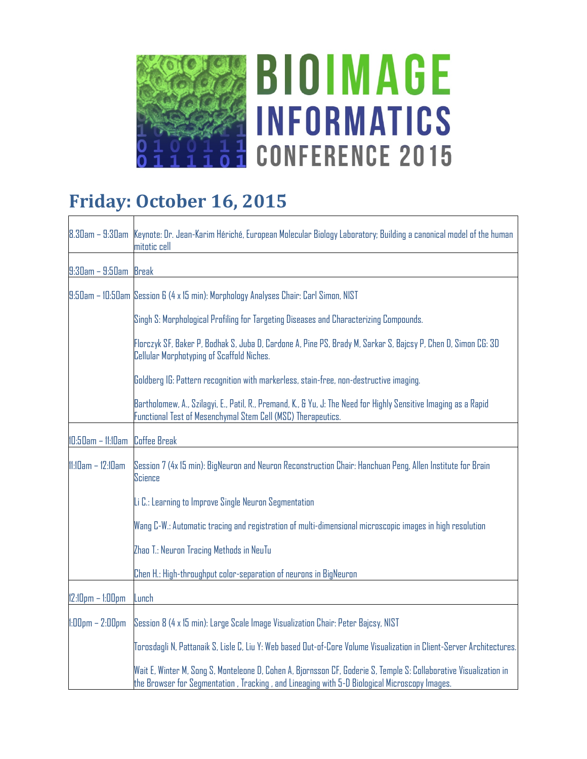

٦

## **Friday: October 16, 2015**

|                       | 8.30am – 9:30am Keynote: Dr. Jean-Karim Hériché, European Molecular Biology Laboratory; Building a canonical model of the human<br>mitotic cell                                                                      |
|-----------------------|----------------------------------------------------------------------------------------------------------------------------------------------------------------------------------------------------------------------|
| $9:30$ am - $9:50$ am | Break                                                                                                                                                                                                                |
|                       | 9:50am - 10:50am Session 6 (4 x 15 min): Morphology Analyses Chair: Carl Simon, NIST                                                                                                                                 |
|                       | Singh S: Morphological Profiling for Targeting Diseases and Characterizing Compounds.                                                                                                                                |
|                       | Florczyk SF, Baker P, Bodhak S, Juba D, Cardone A, Pine PS, Brady M, Sarkar S, Bajcsy P, Chen D, Simon CG: 3D<br>Cellular Morphotyping of Scaffold Niches.                                                           |
|                       | Goldberg IG: Pattern recognition with markerless, stain-free, non-destructive imaging.                                                                                                                               |
|                       | Bartholomew, A., Szilagyi, E., Patil, R., Premand, K., & Yu, J: The Need for Highly Sensitive Imaging as a Rapid<br>Functional Test of Mesenchymal Stem Cell (MSC) Therapeutics.                                     |
| 10:50am - 11:10am     | <b>Coffee Break</b>                                                                                                                                                                                                  |
| $11:10am - 12:10am$   | Session 7 (4x 15 min): BigNeuron and Neuron Reconstruction Chair: Hanchuan Peng, Allen Institute for Brain<br>Science                                                                                                |
|                       | Li C.: Learning to Improve Single Neuron Segmentation                                                                                                                                                                |
|                       | Wang C-W.: Automatic tracing and registration of multi-dimensional microscopic images in high resolution                                                                                                             |
|                       | Zhao T.: Neuron Tracing Methods in NeuTu                                                                                                                                                                             |
|                       | Chen H.: High-throughput color-separation of neurons in BigNeuron                                                                                                                                                    |
| $12:10$ pm $-1:00$ pm | Lunch                                                                                                                                                                                                                |
| $1:00$ pm $- 2:00$ pm | Session 8 (4 x 15 min): Large Scale Image Visualization Chair: Peter Bajcsy, NIST                                                                                                                                    |
|                       | Torosdagli N, Pattanaik S, Lisle C, Liu Y: Web based Out-of-Core Volume Visualization in Client-Server Architectures.                                                                                                |
|                       | Wait E, Winter M, Song S, Monteleone D, Cohen A, Bjornsson CF, Goderie S, Temple S: Collaborative Visualization in<br>the Browser for Segmentation , Tracking , and Lineaging with 5-D Biological Microscopy Images. |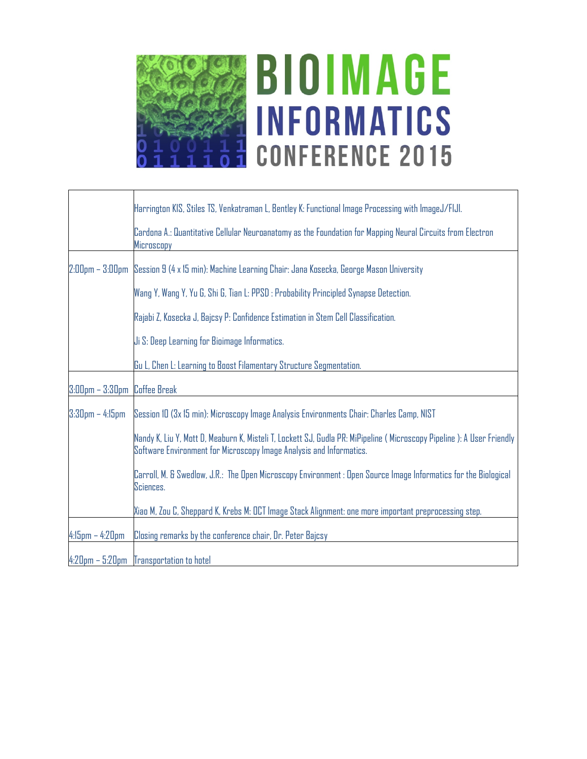

# **BIOIMAGE INFORMATICS CONFERENCE 2015**

|                              | Harrington KIS, Stiles TS, Venkatraman L, Bentley K: Functional Image Processing with ImageJ/FIJI.                                                                                           |
|------------------------------|----------------------------------------------------------------------------------------------------------------------------------------------------------------------------------------------|
|                              | Cardona A.: Quantitative Cellular Neuroanatomy as the Foundation for Mapping Neural Circuits from Electron<br>Microscopy                                                                     |
|                              | 2:00pm – 3:00pm   Session 9 (4 x 15 min): Machine Learning Chair: Jana Kosecka, George Mason University                                                                                      |
|                              | Wang Y, Wang Y, Yu G, Shi G, Tian L: PPSD : Probability Principled Synapse Detection.                                                                                                        |
|                              | Rajabi Z, Kosecka J, Bajcsy P: Confidence Estimation in Stem Cell Classification.                                                                                                            |
|                              | Ji S: Deep Learning for Bioimage Informatics.                                                                                                                                                |
|                              | Gu L, Chen L: Learning to Boost Filamentary Structure Segmentation.                                                                                                                          |
| 3:00pm - 3:30pm Coffee Break |                                                                                                                                                                                              |
| $3:30$ pm – 4:15pm           | Session 10 (3x 15 min): Microscopy Image Analysis Environments Chair: Charles Camp, NIST                                                                                                     |
|                              | Nandy K, Liu Y, Mott D, Meaburn K, Misteli T, Lockett SJ, Gudla PR: MiPipeline (Microscopy Pipeline): A User Friendly<br>Software Environment for Microscopy Image Analysis and Informatics. |
|                              | Carroll, M. & Swedlow, J.R.: The Open Microscopy Environment : Open Source Image Informatics for the Biological<br>Sciences.                                                                 |
|                              | Xiao M, Zou C, Sheppard K, Krebs M: OCT Image Stack Alignment: one more important preprocessing step.                                                                                        |
| $4:15$ pm $- 4:20$ pm        | Closing remarks by the conference chair, Dr. Peter Bajcsy                                                                                                                                    |
|                              | 4:20pm - 5:20pm Transportation to hotel                                                                                                                                                      |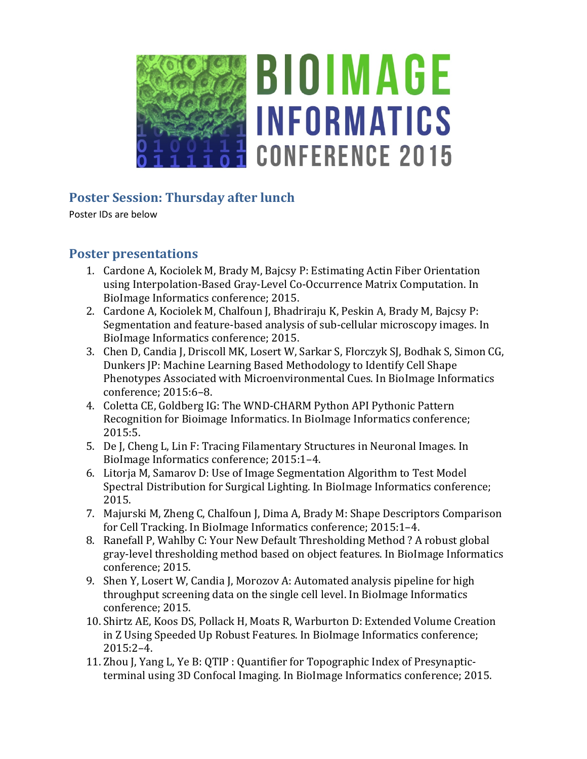

### **Poster Session: Thursday after lunch**

Poster IDs are below

#### **Poster presentations**

- 1. Cardone A, Kociolek M, Brady M, Bajcsy P: Estimating Actin Fiber Orientation using Interpolation-Based Gray-Level Co-Occurrence Matrix Computation. In BioImage Informatics conference; 2015.
- 2. Cardone A, Kociolek M, Chalfoun J, Bhadriraju K, Peskin A, Brady M, Bajcsy P: Segmentation and feature-based analysis of sub-cellular microscopy images. In BioImage Informatics conference; 2015.
- 3. Chen D, Candia J, Driscoll MK, Losert W, Sarkar S, Florczyk SJ, Bodhak S, Simon CG, Dunkers JP: Machine Learning Based Methodology to Identify Cell Shape Phenotypes Associated with Microenvironmental Cues. In BioImage Informatics conference; 2015:6–8.
- 4. Coletta CE, Goldberg IG: The WND-CHARM Python API Pythonic Pattern Recognition for Bioimage Informatics. In BioImage Informatics conference; 2015:5.
- 5. De J, Cheng L, Lin F: Tracing Filamentary Structures in Neuronal Images. In BioImage Informatics conference; 2015:1–4.
- 6. Litorja M, Samarov D: Use of Image Segmentation Algorithm to Test Model Spectral Distribution for Surgical Lighting. In BioImage Informatics conference; 2015.
- 7. Majurski M, Zheng C, Chalfoun J, Dima A, Brady M: Shape Descriptors Comparison for Cell Tracking. In BioImage Informatics conference; 2015:1–4.
- 8. Ranefall P, Wahlby C: Your New Default Thresholding Method ? A robust global gray-level thresholding method based on object features. In BioImage Informatics conference; 2015.
- 9. Shen Y, Losert W, Candia J, Morozov A: Automated analysis pipeline for high throughput screening data on the single cell level. In BioImage Informatics conference; 2015.
- 10. Shirtz AE, Koos DS, Pollack H, Moats R, Warburton D: Extended Volume Creation in Z Using Speeded Up Robust Features. In BioImage Informatics conference; 2015:2–4.
- 11. Zhou J, Yang L, Ye B: QTIP : Quantifier for Topographic Index of Presynapticterminal using 3D Confocal Imaging. In BioImage Informatics conference; 2015.